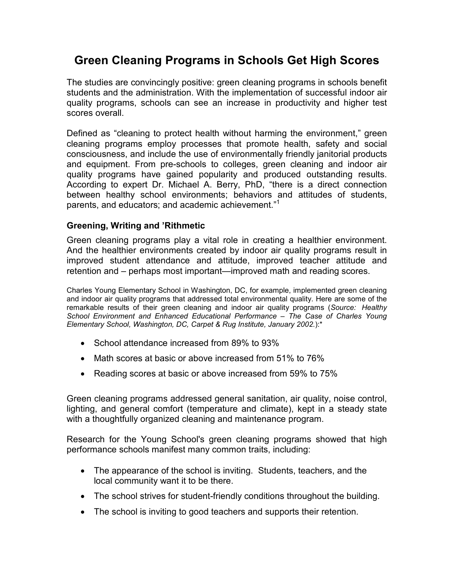# Green Cleaning Programs in Schools Get High Scores

The studies are convincingly positive: green cleaning programs in schools benefit students and the administration. With the implementation of successful indoor air quality programs, schools can see an increase in productivity and higher test scores overall.

Defined as "cleaning to protect health without harming the environment," green cleaning programs employ processes that promote health, safety and social consciousness, and include the use of environmentally friendly janitorial products and equipment. From pre-schools to colleges, green cleaning and indoor air quality programs have gained popularity and produced outstanding results. According to expert Dr. Michael A. Berry, PhD, "there is a direct connection between healthy school environments; behaviors and attitudes of students, parents, and educators; and academic achievement."<sup>1</sup>

### Greening, Writing and 'Rithmetic

Green cleaning programs play a vital role in creating a healthier environment. And the healthier environments created by indoor air quality programs result in improved student attendance and attitude, improved teacher attitude and retention and – perhaps most important—improved math and reading scores.

Charles Young Elementary School in Washington, DC, for example, implemented green cleaning and indoor air quality programs that addressed total environmental quality. Here are some of the remarkable results of their green cleaning and indoor air quality programs (Source: Healthy School Environment and Enhanced Educational Performance – The Case of Charles Young Elementary School, Washington, DC, Carpet & Rug Institute, January 2002.):\*

- School attendance increased from 89% to 93%
- Math scores at basic or above increased from 51% to 76%
- Reading scores at basic or above increased from 59% to 75%

Green cleaning programs addressed general sanitation, air quality, noise control, lighting, and general comfort (temperature and climate), kept in a steady state with a thoughtfully organized cleaning and maintenance program.

Research for the Young School's green cleaning programs showed that high performance schools manifest many common traits, including:

- The appearance of the school is inviting. Students, teachers, and the local community want it to be there.
- The school strives for student-friendly conditions throughout the building.
- The school is inviting to good teachers and supports their retention.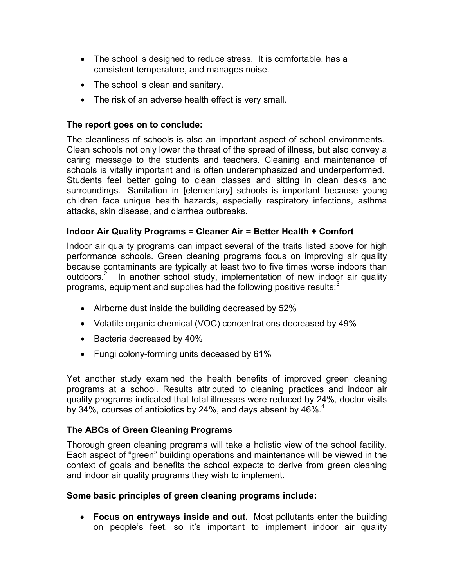- The school is designed to reduce stress. It is comfortable, has a consistent temperature, and manages noise.
- The school is clean and sanitary.
- The risk of an adverse health effect is very small.

### The report goes on to conclude:

The cleanliness of schools is also an important aspect of school environments. Clean schools not only lower the threat of the spread of illness, but also convey a caring message to the students and teachers. Cleaning and maintenance of schools is vitally important and is often underemphasized and underperformed. Students feel better going to clean classes and sitting in clean desks and surroundings. Sanitation in [elementary] schools is important because young children face unique health hazards, especially respiratory infections, asthma attacks, skin disease, and diarrhea outbreaks.

### Indoor Air Quality Programs = Cleaner Air = Better Health + Comfort

Indoor air quality programs can impact several of the traits listed above for high performance schools. Green cleaning programs focus on improving air quality because contaminants are typically at least two to five times worse indoors than outdoors.<sup>2</sup> In another school study, implementation of new indoor air quality programs, equipment and supplies had the following positive results: $3$ Ì

- Airborne dust inside the building decreased by 52%
- Volatile organic chemical (VOC) concentrations decreased by 49%
- Bacteria decreased by 40%
- Fungi colony-forming units deceased by 61%

Yet another study examined the health benefits of improved green cleaning programs at a school. Results attributed to cleaning practices and indoor air quality programs indicated that total illnesses were reduced by 24%, doctor visits by 34%, courses of antibiotics by 24%, and days absent by 46%. $4$ 

#### The ABCs of Green Cleaning Programs

Thorough green cleaning programs will take a holistic view of the school facility. Each aspect of "green" building operations and maintenance will be viewed in the context of goals and benefits the school expects to derive from green cleaning and indoor air quality programs they wish to implement.

#### Some basic principles of green cleaning programs include:

• Focus on entryways inside and out. Most pollutants enter the building on people's feet, so it's important to implement indoor air quality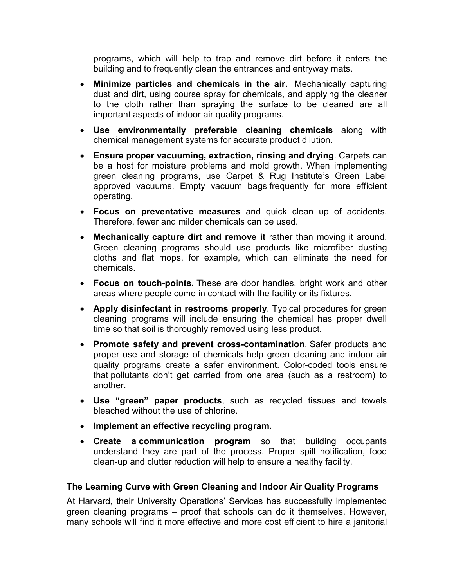programs, which will help to trap and remove dirt before it enters the building and to frequently clean the entrances and entryway mats.

- Minimize particles and chemicals in the air. Mechanically capturing dust and dirt, using course spray for chemicals, and applying the cleaner to the cloth rather than spraying the surface to be cleaned are all important aspects of indoor air quality programs.
- Use environmentally preferable cleaning chemicals along with chemical management systems for accurate product dilution.
- Ensure proper vacuuming, extraction, rinsing and drying. Carpets can be a host for moisture problems and mold growth. When implementing green cleaning programs, use Carpet & Rug Institute's Green Label approved vacuums. Empty vacuum bags frequently for more efficient operating.
- Focus on preventative measures and quick clean up of accidents. Therefore, fewer and milder chemicals can be used.
- Mechanically capture dirt and remove it rather than moving it around. Green cleaning programs should use products like microfiber dusting cloths and flat mops, for example, which can eliminate the need for chemicals.
- Focus on touch-points. These are door handles, bright work and other areas where people come in contact with the facility or its fixtures.
- Apply disinfectant in restrooms properly. Typical procedures for green cleaning programs will include ensuring the chemical has proper dwell time so that soil is thoroughly removed using less product.
- Promote safety and prevent cross-contamination. Safer products and proper use and storage of chemicals help green cleaning and indoor air quality programs create a safer environment. Color-coded tools ensure that pollutants don't get carried from one area (such as a restroom) to another.
- Use "green" paper products, such as recycled tissues and towels bleached without the use of chlorine.
- Implement an effective recycling program.
- Create a communication program so that building occupants understand they are part of the process. Proper spill notification, food clean-up and clutter reduction will help to ensure a healthy facility.

## The Learning Curve with Green Cleaning and Indoor Air Quality Programs

At Harvard, their University Operations' Services has successfully implemented green cleaning programs – proof that schools can do it themselves. However, many schools will find it more effective and more cost efficient to hire a janitorial